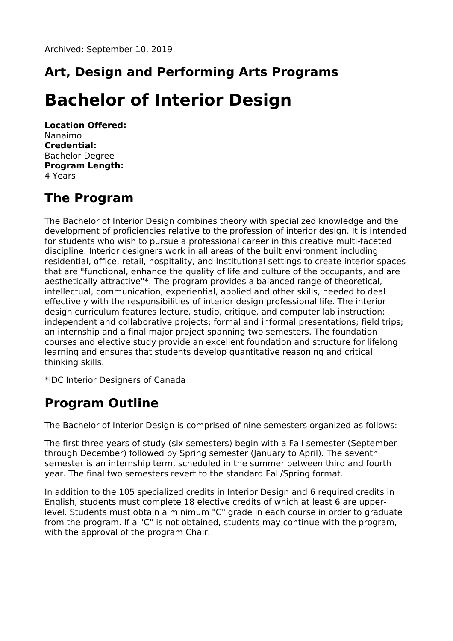## **Art, Design and Performing Arts Programs**

# **Bachelor of Interior Design**

**Location Offered:** Nanaimo **Credential:** Bachelor Degree **Program Length:** 4 Years

#### **The Program**

The Bachelor of Interior Design combines theory with specialized knowledge and the development of proficiencies relative to the profession of interior design. It is intended for students who wish to pursue a professional career in this creative multi-faceted discipline. Interior designers work in all areas of the built environment including residential, office, retail, hospitality, and Institutional settings to create interior spaces that are "functional, enhance the quality of life and culture of the occupants, and are aesthetically attractive"\*. The program provides a balanced range of theoretical, intellectual, communication, experiential, applied and other skills, needed to deal effectively with the responsibilities of interior design professional life. The interior design curriculum features lecture, studio, critique, and computer lab instruction; independent and collaborative projects; formal and informal presentations; field trips; an internship and a final major project spanning two semesters. The foundation courses and elective study provide an excellent foundation and structure for lifelong learning and ensures that students develop quantitative reasoning and critical thinking skills.

\*IDC Interior Designers of Canada

#### **Program Outline**

The Bachelor of Interior Design is comprised of nine semesters organized as follows:

The first three years of study (six semesters) begin with a Fall semester (September through December) followed by Spring semester (January to April). The seventh semester is an internship term, scheduled in the summer between third and fourth year. The final two semesters revert to the standard Fall/Spring format.

In addition to the 105 specialized credits in Interior Design and 6 required credits in English, students must complete 18 elective credits of which at least 6 are upperlevel. Students must obtain a minimum "C" grade in each course in order to graduate from the program. If a "C" is not obtained, students may continue with the program, with the approval of the program Chair.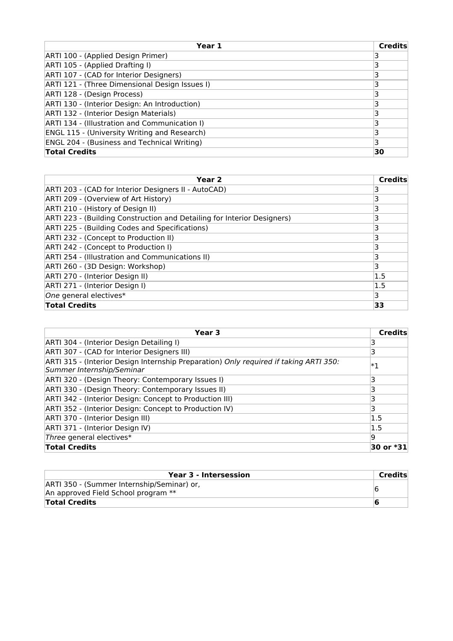| Year 1                                              | <b>Credits</b> |
|-----------------------------------------------------|----------------|
| ARTI 100 - (Applied Design Primer)                  |                |
| ARTI 105 - (Applied Drafting I)                     |                |
| ARTI 107 - (CAD for Interior Designers)             |                |
| ARTI 121 - (Three Dimensional Design Issues I)      |                |
| ARTI 128 - (Design Process)                         |                |
| ARTI 130 - (Interior Design: An Introduction)       |                |
| ARTI 132 - (Interior Design Materials)              |                |
| ARTI 134 - (Illustration and Communication I)       |                |
| <b>ENGL 115 - (University Writing and Research)</b> |                |
| <b>ENGL 204 - (Business and Technical Writing)</b>  | 3              |
| <b>Total Credits</b>                                | 30             |

| Year 2                                                                  | Credits |
|-------------------------------------------------------------------------|---------|
| ARTI 203 - (CAD for Interior Designers II - AutoCAD)                    |         |
| ARTI 209 - (Overview of Art History)                                    |         |
| ARTI 210 - (History of Design II)                                       | 3       |
| ARTI 223 - (Building Construction and Detailing for Interior Designers) | 3       |
| ARTI 225 - (Building Codes and Specifications)                          | 3       |
| ARTI 232 - (Concept to Production II)                                   | 3       |
| ARTI 242 - (Concept to Production I)                                    |         |
| ARTI 254 - (Illustration and Communications II)                         | 3       |
| ARTI 260 - (3D Design: Workshop)                                        | 3       |
| ARTI 270 - (Interior Design II)                                         | 1.5     |
| ARTI 271 - (Interior Design I)                                          | 1.5     |
| One general electives*                                                  | 3       |
| <b>Total Credits</b>                                                    | 33      |

| Year 3                                                                                                             | <b>Credits</b> |
|--------------------------------------------------------------------------------------------------------------------|----------------|
| ARTI 304 - (Interior Design Detailing I)                                                                           |                |
| ARTI 307 - (CAD for Interior Designers III)                                                                        |                |
| ARTI 315 - (Interior Design Internship Preparation) Only required if taking ARTI 350:<br>Summer Internship/Seminar | $\ast_1$       |
| ARTI 320 - (Design Theory: Contemporary Issues I)                                                                  | 3              |
| ARTI 330 - (Design Theory: Contemporary Issues II)                                                                 | 3              |
| ARTI 342 - (Interior Design: Concept to Production III)                                                            |                |
| ARTI 352 - (Interior Design: Concept to Production IV)                                                             |                |
| ARTI 370 - (Interior Design III)                                                                                   | 1.5            |
| ARTI 371 - (Interior Design IV)                                                                                    | 1.5            |
| Three general electives*                                                                                           | 19             |
| <b>Total Credits</b>                                                                                               | 30 or *31      |

| Year 3 - Intersession                                                             | Credits |
|-----------------------------------------------------------------------------------|---------|
| ARTI 350 - (Summer Internship/Seminar) or,<br>An approved Field School program ** |         |
| <b>Total Credits</b>                                                              |         |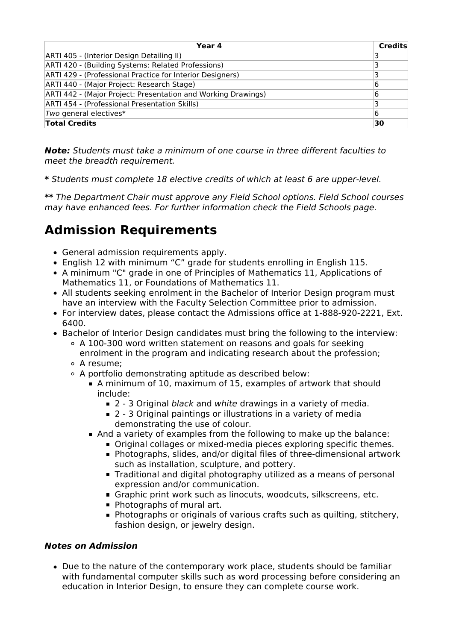| Year 4                                                        | <b>Credits</b> |
|---------------------------------------------------------------|----------------|
| ARTI 405 - (Interior Design Detailing II)                     |                |
| ARTI 420 - (Building Systems: Related Professions)            |                |
| ARTI 429 - (Professional Practice for Interior Designers)     |                |
| ARTI 440 - (Major Project: Research Stage)                    | 16             |
| ARTI 442 - (Major Project: Presentation and Working Drawings) | 6              |
| ARTI 454 - (Professional Presentation Skills)                 |                |
| Two general electives*                                        | 16             |
| <b>Total Credits</b>                                          | 30             |

**Note:** Students must take a minimum of one course in three different faculties to meet the breadth requirement.

**\*** Students must complete 18 elective credits of which at least 6 are upper-level.

**\*\*** The Department Chair must approve any Field School options. Field School courses may have enhanced fees. For further information check the Field Schools page.

### **Admission Requirements**

- General admission requirements apply.
- English 12 with minimum "C" grade for students enrolling in English 115.
- A minimum "C" grade in one of Principles of Mathematics 11, Applications of Mathematics 11, or Foundations of Mathematics 11.
- All students seeking enrolment in the Bachelor of Interior Design program must have an interview with the Faculty Selection Committee prior to admission.
- For interview dates, please contact the Admissions office at 1-888-920-2221, Ext. 6400.
- Bachelor of Interior Design candidates must bring the following to the interview:
	- $\circ$  A 100-300 word written statement on reasons and goals for seeking enrolment in the program and indicating research about the profession;
	- A resume;
	- A portfolio demonstrating aptitude as described below:
		- A minimum of 10, maximum of 15, examples of artwork that should include:
			- 2 3 Original black and white drawings in a variety of media.
			- 2 3 Original paintings or illustrations in a variety of media demonstrating the use of colour.
		- And a variety of examples from the following to make up the balance:
			- Original collages or mixed-media pieces exploring specific themes.
				- Photographs, slides, and/or digital files of three-dimensional artwork such as installation, sculpture, and pottery.
				- **Traditional and digital photography utilized as a means of personal** expression and/or communication.
				- Graphic print work such as linocuts, woodcuts, silkscreens, etc.
				- **Photographs of mural art.**
				- **Photographs or originals of various crafts such as quilting, stitchery,** fashion design, or jewelry design.

#### **Notes on Admission**

Due to the nature of the contemporary work place, students should be familiar with fundamental computer skills such as word processing before considering an education in Interior Design, to ensure they can complete course work.